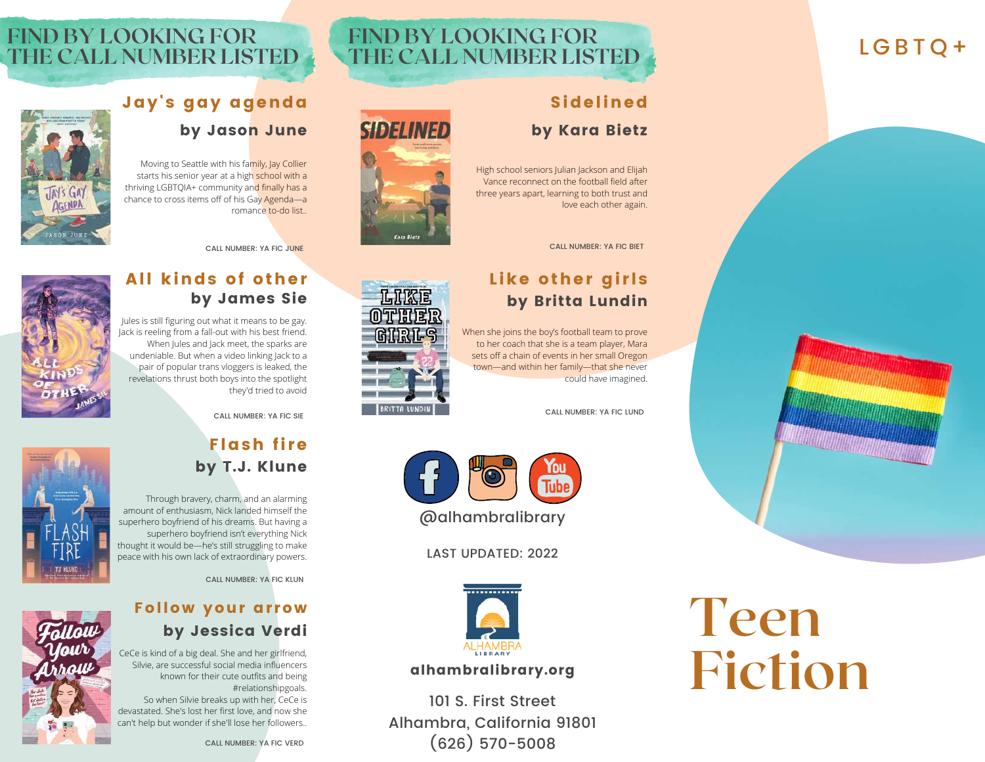## LGBTO+

## **FIND BY LOOKING FOR THE CALL NUMBER LISTED**

## Sidelined by Kara Bietz

High school seniors Julian Jackson and Elijah Vance reconnect on the football field after three years apart, learning to both trust and love each other again.

CALL NUMBER: YA FIC BIET

## Like other girls by Britta Lundin

When she joins the boy's football team to prove to her coach that she is a team player, Mara sets off a chain of events in her small Oregon town—and within her family—that she never could have imagined.

CALL NUMBER: YA FIC LUND

# **Teen Fiction**

<u> Albumini Sara</u>













### All kinds of other by James Sie

Jay's gay agenda

Moving to Seattle with his family, Jay Collier starts his senior year at a high school with a thriving LGBTQIA+ community and finally has a chance to cross items off of his Gay Agenda—a

by Jason June

romance to-do list..

CALL NUMBER: YA FIC JUNE

Jules is still figuring out what it means to be gay. Jack is reeling from a fall-out with his best friend. When Jules and Jack meet, the sparks are undeniable. But when a video linking Jack to a pair of popular trans vloggers is leaked, the revelations thrust both boys into the spotlight they'd tried to avoid



**TAIS GA** 

**FIND BY LOOKING FOR**

**THE CALL NUMBER LISTED**

CALL NUMBER: YA FIC SIE

## Flash fire by T.J. Klune



Through bravery, charm, and an alarming amount of enthusiasm, Nick landed himself the superhero boyfriend of his dreams. But having a superhero boyfriend isn't everything Nick thought it would be—he's still struggling to make peace with his own lack of extraordinary powers.

CALL NUMBER: YA FIC KLUN

## Follow your arrow by Jessica Verdi

CeCe is kind of a big deal. She and her girlfriend, Silvie, are successful social media influencers known for their cute outfits and being #relationshipgoals. So when Silvie breaks up with her, CeCe is

devastated. She's lost her first love, and now she can't help but wonder if she'll lose her followers..





LAST UPDATED: 2022



### alhambralibrary.org

101 S. First Street Alhambra, California 91801 (626) 570-5008